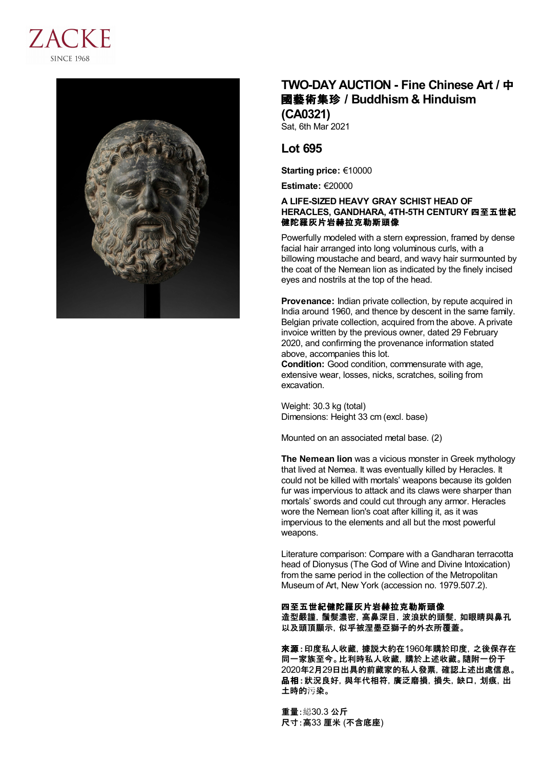



## **TWO-DAY AUCTION - Fine Chinese Art /** 中 國藝術集珍 **/Buddhism & Hinduism (CA0321)**

Sat, 6th Mar 2021

## **Lot 695**

**Starting price:** €10000

**Estimate:** €20000

## **A LIFE-SIZED HEAVY GRAY SCHIST HEAD OF HERACLES, GANDHARA, 4TH-5TH CENTURY** 四至五世紀 健陀羅灰片岩赫拉克勒斯頭像

Powerfully modeled with a stern expression, framed by dense facial hair arranged into long voluminous curls, with a billowing moustache and beard, and wavy hair surmounted by the coat of the Nemean lion as indicated by the finely incised eyes and nostrils at the top of the head.

**Provenance:** Indian private collection, by repute acquired in India around 1960, and thence by descent in the same family. Belgian private collection, acquired from the above. A private invoice written by the previous owner, dated 29 February 2020, and confirming the provenance information stated above, accompanies this lot.

**Condition:** Good condition, commensurate with age, extensive wear, losses, nicks, scratches, soiling from excavation.

Weight: 30.3 kg (total) Dimensions: Height 33 cm (excl. base)

Mounted on an associated metal base. (2)

**The Nemean lion** was a vicious monster in Greek mythology that lived at Nemea. It was eventually killed by Heracles. It could not be killed with mortals' weapons because its golden fur was impervious to attack and its claws were sharper than mortals' swords and could cut through any armor. Heracles wore the Nemean lion's coat after killing it, as it was impervious to the elements and all but the most powerful weapons.

Literature comparison: Compare with a Gandharan terracotta head of Dionysus (The God of Wine and Divine Intoxication) from the same period in the collection of the Metropolitan Museum of Art, New York (accession no. 1979.507.2).

四至五世紀健陀羅灰片岩赫拉克勒斯頭像 造型嚴謹,鬚髮濃密,高鼻深目,波浪狀的頭髮,如眼睛與鼻孔 以及頭頂顯示,似乎被涅墨亞獅子的外衣所覆蓋。

來源:印度私人收藏,據説大約在1960年購於印度,之後保存在 同一家族至今。比利時私人收藏,購於上述收藏。隨附一份于 2020年2月29日出具的前藏家的私人發票,確認上述出處信息。 品相:狀況良好,與年代相符,廣泛磨損,損失,缺口,划痕,出 土時的污染。

重量:縂30.3 公斤 尺寸:高33 厘米 (不含底座)